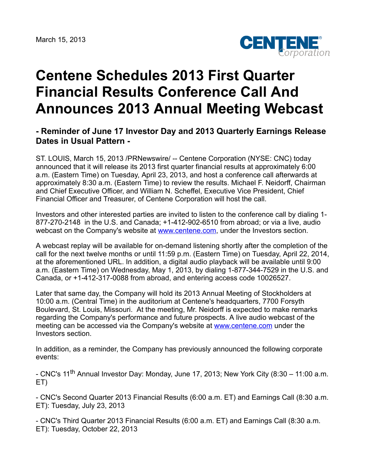

## **Centene Schedules 2013 First Quarter Financial Results Conference Call And Announces 2013 Annual Meeting Webcast**

## **- Reminder of June 17 Investor Day and 2013 Quarterly Earnings Release Dates in Usual Pattern -**

ST. LOUIS, March 15, 2013 /PRNewswire/ -- Centene Corporation (NYSE: CNC) today announced that it will release its 2013 first quarter financial results at approximately 6:00 a.m. (Eastern Time) on Tuesday, April 23, 2013, and host a conference call afterwards at approximately 8:30 a.m. (Eastern Time) to review the results. Michael F. Neidorff, Chairman and Chief Executive Officer, and William N. Scheffel, Executive Vice President, Chief Financial Officer and Treasurer, of Centene Corporation will host the call.

Investors and other interested parties are invited to listen to the conference call by dialing 1- 877-270-2148 in the U.S. and Canada; +1-412-902-6510 from abroad; or via a live, audio webcast on the Company's website at [www.centene.com,](http://www.centene.com/) under the Investors section.

A webcast replay will be available for on-demand listening shortly after the completion of the call for the next twelve months or until 11:59 p.m. (Eastern Time) on Tuesday, April 22, 2014, at the aforementioned URL. In addition, a digital audio playback will be available until 9:00 a.m. (Eastern Time) on Wednesday, May 1, 2013, by dialing 1-877-344-7529 in the U.S. and Canada, or +1-412-317-0088 from abroad, and entering access code 10026527.

Later that same day, the Company will hold its 2013 Annual Meeting of Stockholders at 10:00 a.m. (Central Time) in the auditorium at Centene's headquarters, 7700 Forsyth Boulevard, St. Louis, Missouri. At the meeting, Mr. Neidorff is expected to make remarks regarding the Company's performance and future prospects. A live audio webcast of the meeting can be accessed via the Company's website at [www.centene.com](http://www.centene.com/) under the Investors section.

In addition, as a reminder, the Company has previously announced the following corporate events:

- CNC's 11<sup>th</sup> Annual Investor Day: Monday, June 17, 2013; New York City (8:30 – 11:00 a.m. ET)

- CNC's Second Quarter 2013 Financial Results (6:00 a.m. ET) and Earnings Call (8:30 a.m. ET): Tuesday, July 23, 2013

- CNC's Third Quarter 2013 Financial Results (6:00 a.m. ET) and Earnings Call (8:30 a.m. ET): Tuesday, October 22, 2013